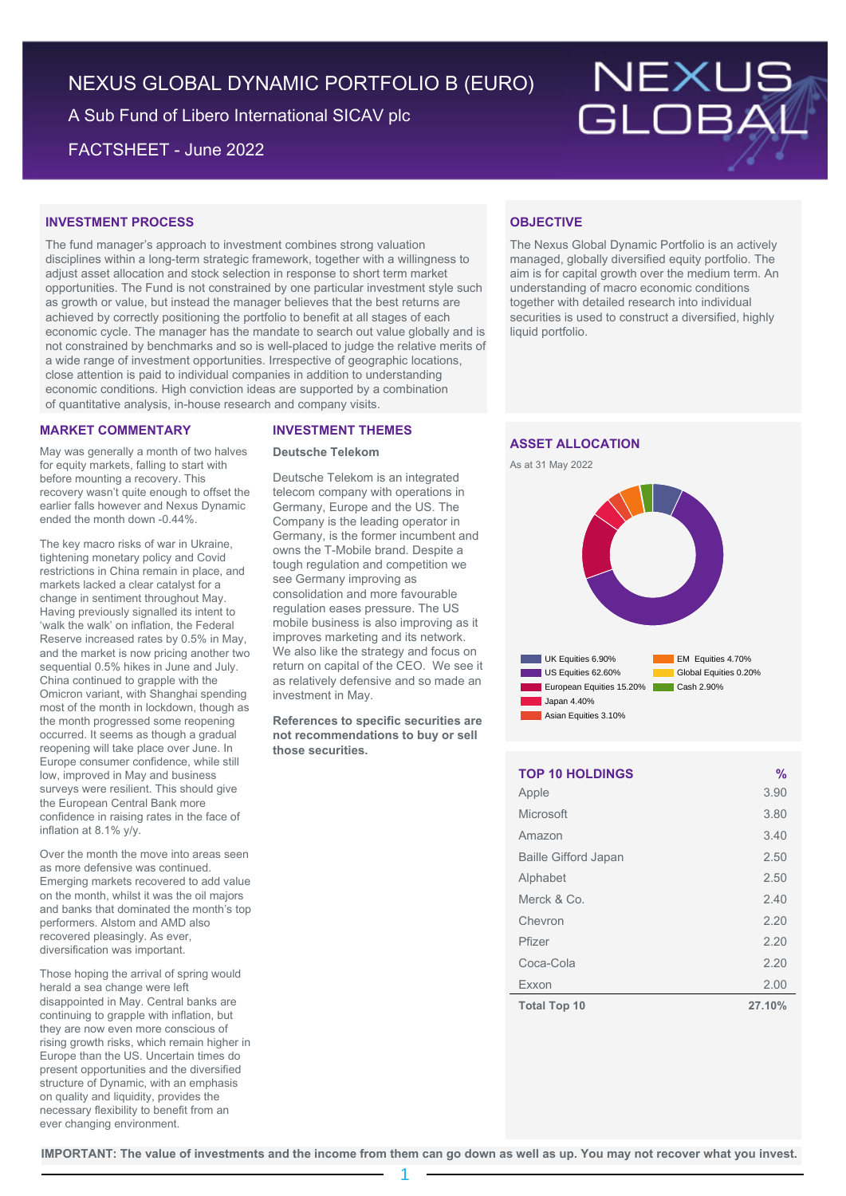# NEXUS GLOBAL DYNAMIC PORTFOLIO B (EURO)

A Sub Fund of Libero International SICAV plc

FACTSHEET - June 2022



# **INVESTMENT PROCESS**

The fund manager's approach to investment combines strong valuation disciplines within a long-term strategic framework, together with a willingness to adjust asset allocation and stock selection in response to short term market opportunities. The Fund is not constrained by one particular investment style such as growth or value, but instead the manager believes that the best returns are achieved by correctly positioning the portfolio to benefit at all stages of each economic cycle. The manager has the mandate to search out value globally and is not constrained by benchmarks and so is well-placed to judge the relative merits of a wide range of investment opportunities. Irrespective of geographic locations, close attention is paid to individual companies in addition to understanding economic conditions. High conviction ideas are supported by a combination of quantitative analysis, in-house research and company visits.

# **MARKET COMMENTARY**

May was generally a month of two halves for equity markets, falling to start with before mounting a recovery. This recovery wasn't quite enough to offset the earlier falls however and Nexus Dynamic ended the month down -0.44%.

The key macro risks of war in Ukraine, tightening monetary policy and Covid restrictions in China remain in place, and markets lacked a clear catalyst for a change in sentiment throughout May. Having previously signalled its intent to 'walk the walk' on inflation, the Federal Reserve increased rates by 0.5% in May, and the market is now pricing another two sequential 0.5% hikes in June and July. China continued to grapple with the Omicron variant, with Shanghai spending most of the month in lockdown, though as the month progressed some reopening occurred. It seems as though a gradual reopening will take place over June. In Europe consumer confidence, while still low, improved in May and business surveys were resilient. This should give the European Central Bank more confidence in raising rates in the face of inflation at 8.1% y/y.

Over the month the move into areas seen as more defensive was continued. Emerging markets recovered to add value on the month, whilst it was the oil majors and banks that dominated the month's top performers. Alstom and AMD also recovered pleasingly. As ever, diversification was important.

Those hoping the arrival of spring would herald a sea change were left disappointed in May. Central banks are continuing to grapple with inflation, but they are now even more conscious of rising growth risks, which remain higher in Europe than the US. Uncertain times do present opportunities and the diversified structure of Dynamic, with an emphasis on quality and liquidity, provides the necessary flexibility to benefit from an ever changing environment.

## **INVESTMENT THEMES**

## **Deutsche Telekom**

Deutsche Telekom is an integrated telecom company with operations in Germany, Europe and the US. The Company is the leading operator in Germany, is the former incumbent and owns the T-Mobile brand. Despite a tough regulation and competition we see Germany improving as consolidation and more favourable regulation eases pressure. The US mobile business is also improving as it improves marketing and its network. We also like the strategy and focus on return on capital of the CEO. We see it as relatively defensive and so made an investment in May.

**References to specific securities are not recommendations to buy or sell those securities.**

# **OBJECTIVE**

The Nexus Global Dynamic Portfolio is an actively managed, globally diversified equity portfolio. The aim is for capital growth over the medium term. An understanding of macro economic conditions together with detailed research into individual securities is used to construct a diversified, highly liquid portfolio.

# **ASSET ALLOCATION**





| <b>TOP 10 HOLDINGS</b>      | $\frac{0}{0}$ |
|-----------------------------|---------------|
| Apple                       | 3.90          |
| Microsoft                   | 3.80          |
| Amazon                      | 3.40          |
| <b>Baille Gifford Japan</b> | 2.50          |
| Alphabet                    | 2.50          |
| Merck & Co.                 | 2.40          |
| Chevron                     | 2.20          |
| Pfizer                      | 2.20          |
| Coca-Cola                   | 2.20          |
| Exxon                       | 2.00          |
| <b>Total Top 10</b>         | 27.10%        |

**IMPORTANT: The value of investments and the income from them can go down as well as up. You may not recover what you invest.**